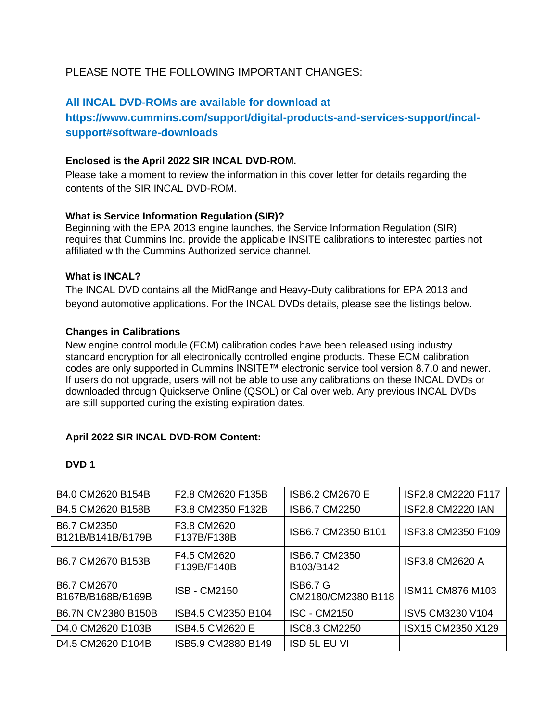# PLEASE NOTE THE FOLLOWING IMPORTANT CHANGES:

## **All INCAL DVD-ROMs are available for download at**

# **https://www.cummins.com/support/digital-products-and-services-support/incalsupport#software-downloads**

## **Enclosed is the April 2022 SIR INCAL DVD-ROM.**

Please take a moment to review the information in this cover letter for details regarding the contents of the SIR INCAL DVD-ROM.

#### **What is Service Information Regulation (SIR)?**

Beginning with the EPA 2013 engine launches, the Service Information Regulation (SIR) requires that Cummins Inc. provide the applicable INSITE calibrations to interested parties not affiliated with the Cummins Authorized service channel.

## **What is INCAL?**

The INCAL DVD contains all the MidRange and Heavy-Duty calibrations for EPA 2013 and beyond automotive applications. For the INCAL DVDs details, please see the listings below.

#### **Changes in Calibrations**

New engine control module (ECM) calibration codes have been released using industry standard encryption for all electronically controlled engine products. These ECM calibration codes are only supported in Cummins INSITE™ electronic service tool version 8.7.0 and newer. If users do not upgrade, users will not be able to use any calibrations on these INCAL DVDs or downloaded through Quickserve Online (QSOL) or Cal over web. Any previous INCAL DVDs are still supported during the existing expiration dates.

## **April 2022 SIR INCAL DVD-ROM Content:**

| B4.0 CM2620 B154B                                      | F <sub>2.8</sub> CM <sub>2620</sub> F <sub>135</sub> B | ISB6.2 CM2670 E                       | ISF2.8 CM2220 F117       |
|--------------------------------------------------------|--------------------------------------------------------|---------------------------------------|--------------------------|
| B4.5 CM2620 B158B                                      | F3.8 CM2350 F132B                                      | ISB6.7 CM2250                         | <b>ISF2.8 CM2220 IAN</b> |
| B6.7 CM2350<br>B121B/B141B/B179B                       | F3.8 CM2620<br>F137B/F138B                             | ISB6.7 CM2350 B101                    | ISF3.8 CM2350 F109       |
| B6.7 CM2670 B153B                                      | F4.5 CM2620<br>F139B/F140B                             | ISB6.7 CM2350<br>B103/B142            | <b>ISF3.8 CM2620 A</b>   |
| B6.7 CM2670<br>B167B/B168B/B169B                       | <b>ISB - CM2150</b>                                    | <b>ISB6.7 G</b><br>CM2180/CM2380 B118 | ISM11 CM876 M103         |
| B6.7N CM2380 B150B                                     | ISB4.5 CM2350 B104                                     | ISC - CM2150                          | ISV5 CM3230 V104         |
| D4.0 CM2620 D103B                                      | ISB4.5 CM2620 E                                        | <b>ISC8.3 CM2250</b>                  | ISX15 CM2350 X129        |
| D <sub>4.5</sub> CM <sub>2620</sub> D <sub>104</sub> B | ISB5.9 CM2880 B149                                     | ISD 5L EU VI                          |                          |

## **DVD 1**